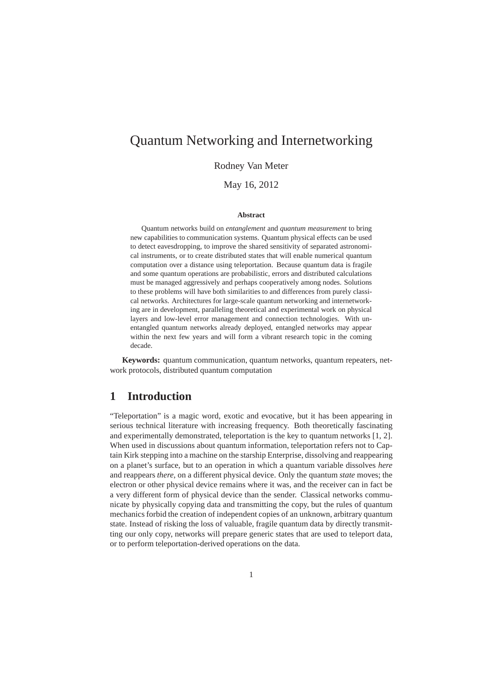## Quantum Networking and Internetworking

Rodney Van Meter

May 16, 2012

#### **Abstract**

Quantum networks build on *entanglement* and *quantum measurement* to bring new capabilities to communication systems. Quantum physical effects can be used to detect eavesdropping, to improve the shared sensitivity of separated astronomical instruments, or to create distributed states that will enable numerical quantum computation over a distance using teleportation. Because quantum data is fragile and some quantum operations are probabilistic, errors and distributed calculations must be managed aggressively and perhaps cooperatively among nodes. Solutions to these problems will have both similarities to and differences from purely classical networks. Architectures for large-scale quantum networking and internetworking are in development, paralleling theoretical and experimental work on physical layers and low-level error management and connection technologies. With unentangled quantum networks already deployed, entangled networks may appear within the next few years and will form a vibrant research topic in the coming decade.

**Keywords:** quantum communication, quantum networks, quantum repeaters, network protocols, distributed quantum computation

### **1 Introduction**

"Teleportation" is a magic word, exotic and evocative, but it has been appearing in serious technical literature with increasing frequency. Both theoretically fascinating and experimentally demonstrated, teleportation is the key to quantum networks [1, 2]. When used in discussions about quantum information, teleportation refers not to Captain Kirk stepping into a machine on the starship Enterprise, dissolving and reappearing on a planet's surface, but to an operation in which a quantum variable dissolves *here* and reappears *there*, on a different physical device. Only the quantum *state* moves; the electron or other physical device remains where it was, and the receiver can in fact be a very different form of physical device than the sender. Classical networks communicate by physically copying data and transmitting the copy, but the rules of quantum mechanics forbid the creation of independent copies of an unknown, arbitrary quantum state. Instead of risking the loss of valuable, fragile quantum data by directly transmitting our only copy, networks will prepare generic states that are used to teleport data, or to perform teleportation-derived operations on the data.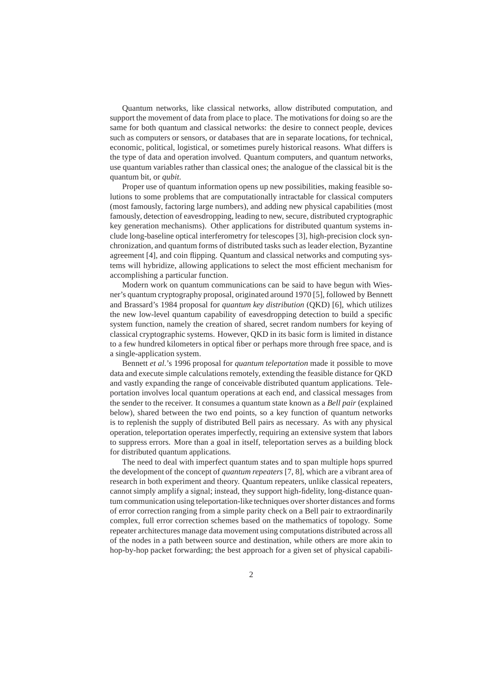Quantum networks, like classical networks, allow distributed computation, and support the movement of data from place to place. The motivations for doing so are the same for both quantum and classical networks: the desire to connect people, devices such as computers or sensors, or databases that are in separate locations, for technical, economic, political, logistical, or sometimes purely historical reasons. What differs is the type of data and operation involved. Quantum computers, and quantum networks, use quantum variables rather than classical ones; the analogue of the classical bit is the quantum bit, or *qubit*.

Proper use of quantum information opens up new possibilities, making feasible solutions to some problems that are computationally intractable for classical computers (most famously, factoring large numbers), and adding new physical capabilities (most famously, detection of eavesdropping, leading to new, secure, distributed cryptographic key generation mechanisms). Other applications for distributed quantum systems include long-baseline optical interferometry for telescopes [3], high-precision clock synchronization, and quantum forms of distributed tasks such as leader election, Byzantine agreement [4], and coin flipping. Quantum and classical networks and computing systems will hybridize, allowing applications to select the most efficient mechanism for accomplishing a particular function.

Modern work on quantum communications can be said to have begun with Wiesner's quantum cryptography proposal, originated around 1970 [5], followed by Bennett and Brassard's 1984 proposal for *quantum key distribution* (QKD) [6], which utilizes the new low-level quantum capability of eavesdropping detection to build a specific system function, namely the creation of shared, secret random numbers for keying of classical cryptographic systems. However, QKD in its basic form is limited in distance to a few hundred kilometers in optical fiber or perhaps more through free space, and is a single-application system.

Bennett *et al.*'s 1996 proposal for *quantum teleportation* made it possible to move data and execute simple calculations remotely, extending the feasible distance for QKD and vastly expanding the range of conceivable distributed quantum applications. Teleportation involves local quantum operations at each end, and classical messages from the sender to the receiver. It consumes a quantum state known as a *Bell pair* (explained below), shared between the two end points, so a key function of quantum networks is to replenish the supply of distributed Bell pairs as necessary. As with any physical operation, teleportation operates imperfectly, requiring an extensive system that labors to suppress errors. More than a goal in itself, teleportation serves as a building block for distributed quantum applications.

The need to deal with imperfect quantum states and to span multiple hops spurred the development of the concept of *quantum repeaters* [7, 8], which are a vibrant area of research in both experiment and theory. Quantum repeaters, unlike classical repeaters, cannot simply amplify a signal; instead, they support high-fidelity, long-distance quantum communication using teleportation-like techniques over shorter distances and forms of error correction ranging from a simple parity check on a Bell pair to extraordinarily complex, full error correction schemes based on the mathematics of topology. Some repeater architectures manage data movement using computations distributed across all of the nodes in a path between source and destination, while others are more akin to hop-by-hop packet forwarding; the best approach for a given set of physical capabili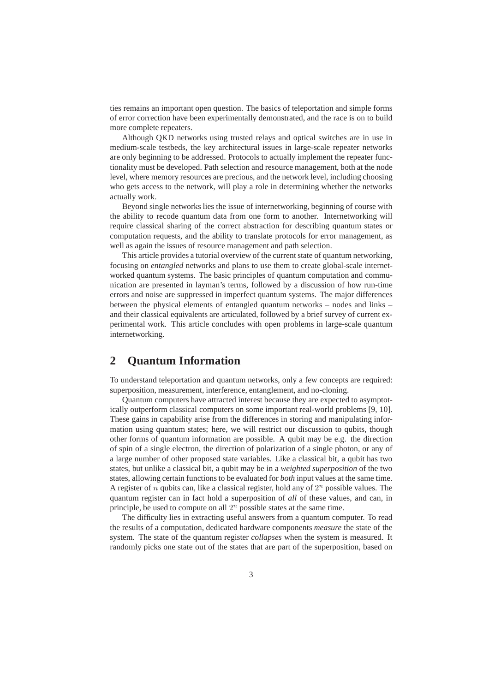ties remains an important open question. The basics of teleportation and simple forms of error correction have been experimentally demonstrated, and the race is on to build more complete repeaters.

Although QKD networks using trusted relays and optical switches are in use in medium-scale testbeds, the key architectural issues in large-scale repeater networks are only beginning to be addressed. Protocols to actually implement the repeater functionality must be developed. Path selection and resource management, both at the node level, where memory resources are precious, and the network level, including choosing who gets access to the network, will play a role in determining whether the networks actually work.

Beyond single networks lies the issue of internetworking, beginning of course with the ability to recode quantum data from one form to another. Internetworking will require classical sharing of the correct abstraction for describing quantum states or computation requests, and the ability to translate protocols for error management, as well as again the issues of resource management and path selection.

This article provides a tutorial overview of the current state of quantum networking, focusing on *entangled* networks and plans to use them to create global-scale internetworked quantum systems. The basic principles of quantum computation and communication are presented in layman's terms, followed by a discussion of how run-time errors and noise are suppressed in imperfect quantum systems. The major differences between the physical elements of entangled quantum networks – nodes and links – and their classical equivalents are articulated, followed by a brief survey of current experimental work. This article concludes with open problems in large-scale quantum internetworking.

#### **2 Quantum Information**

To understand teleportation and quantum networks, only a few concepts are required: superposition, measurement, interference, entanglement, and no-cloning.

Quantum computers have attracted interest because they are expected to asymptotically outperform classical computers on some important real-world problems [9, 10]. These gains in capability arise from the differences in storing and manipulating information using quantum states; here, we will restrict our discussion to qubits, though other forms of quantum information are possible. A qubit may be e.g. the direction of spin of a single electron, the direction of polarization of a single photon, or any of a large number of other proposed state variables. Like a classical bit, a qubit has two states, but unlike a classical bit, a qubit may be in a *weighted superposition* of the two states, allowing certain functions to be evaluated for *both* input values at the same time. A register of n qubits can, like a classical register, hold any of  $2^n$  possible values. The quantum register can in fact hold a superposition of *all* of these values, and can, in principle, be used to compute on all  $2^n$  possible states at the same time.

The difficulty lies in extracting useful answers from a quantum computer. To read the results of a computation, dedicated hardware components *measure* the state of the system. The state of the quantum register *collapses* when the system is measured. It randomly picks one state out of the states that are part of the superposition, based on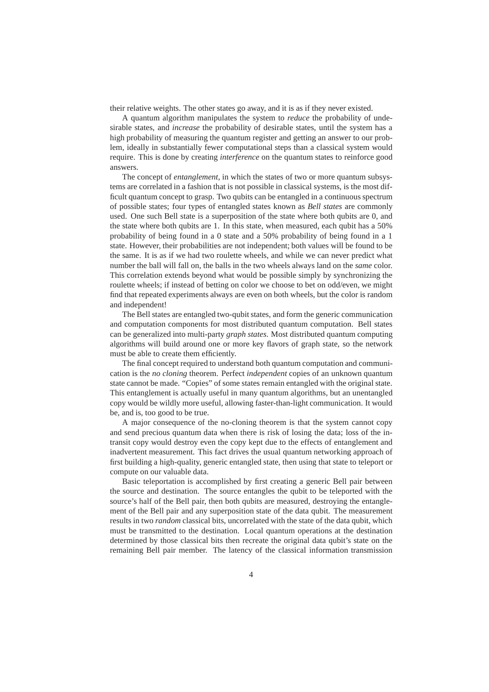their relative weights. The other states go away, and it is as if they never existed.

A quantum algorithm manipulates the system to *reduce* the probability of undesirable states, and *increase* the probability of desirable states, until the system has a high probability of measuring the quantum register and getting an answer to our problem, ideally in substantially fewer computational steps than a classical system would require. This is done by creating *interference* on the quantum states to reinforce good answers.

The concept of *entanglement*, in which the states of two or more quantum subsystems are correlated in a fashion that is not possible in classical systems, is the most difficult quantum concept to grasp. Two qubits can be entangled in a continuous spectrum of possible states; four types of entangled states known as *Bell states* are commonly used. One such Bell state is a superposition of the state where both qubits are 0, and the state where both qubits are 1. In this state, when measured, each qubit has a 50% probability of being found in a 0 state and a 50% probability of being found in a 1 state. However, their probabilities are not independent; both values will be found to be the same. It is as if we had two roulette wheels, and while we can never predict what number the ball will fall on, the balls in the two wheels always land on the *same* color. This correlation extends beyond what would be possible simply by synchronizing the roulette wheels; if instead of betting on color we choose to bet on odd/even, we might find that repeated experiments always are even on both wheels, but the color is random and independent!

The Bell states are entangled two-qubit states, and form the generic communication and computation components for most distributed quantum computation. Bell states can be generalized into multi-party *graph states*. Most distributed quantum computing algorithms will build around one or more key flavors of graph state, so the network must be able to create them efficiently.

The final concept required to understand both quantum computation and communication is the *no cloning* theorem. Perfect *independent* copies of an unknown quantum state cannot be made. "Copies" of some states remain entangled with the original state. This entanglement is actually useful in many quantum algorithms, but an unentangled copy would be wildly more useful, allowing faster-than-light communication. It would be, and is, too good to be true.

A major consequence of the no-cloning theorem is that the system cannot copy and send precious quantum data when there is risk of losing the data; loss of the intransit copy would destroy even the copy kept due to the effects of entanglement and inadvertent measurement. This fact drives the usual quantum networking approach of first building a high-quality, generic entangled state, then using that state to teleport or compute on our valuable data.

Basic teleportation is accomplished by first creating a generic Bell pair between the source and destination. The source entangles the qubit to be teleported with the source's half of the Bell pair, then both qubits are measured, destroying the entanglement of the Bell pair and any superposition state of the data qubit. The measurement results in two *random* classical bits, uncorrelated with the state of the data qubit, which must be transmitted to the destination. Local quantum operations at the destination determined by those classical bits then recreate the original data qubit's state on the remaining Bell pair member. The latency of the classical information transmission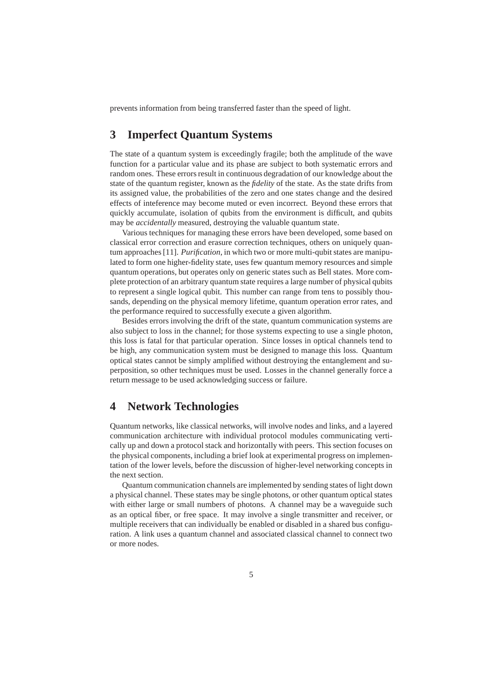prevents information from being transferred faster than the speed of light.

### **3 Imperfect Quantum Systems**

The state of a quantum system is exceedingly fragile; both the amplitude of the wave function for a particular value and its phase are subject to both systematic errors and random ones. These errors result in continuous degradation of our knowledge about the state of the quantum register, known as the *fidelity* of the state. As the state drifts from its assigned value, the probabilities of the zero and one states change and the desired effects of inteference may become muted or even incorrect. Beyond these errors that quickly accumulate, isolation of qubits from the environment is difficult, and qubits may be *accidentally* measured, destroying the valuable quantum state.

Various techniques for managing these errors have been developed, some based on classical error correction and erasure correction techniques, others on uniquely quantum approaches [11]. *Purification*, in which two or more multi-qubit states are manipulated to form one higher-fidelity state, uses few quantum memory resources and simple quantum operations, but operates only on generic states such as Bell states. More complete protection of an arbitrary quantum state requires a large number of physical qubits to represent a single logical qubit. This number can range from tens to possibly thousands, depending on the physical memory lifetime, quantum operation error rates, and the performance required to successfully execute a given algorithm.

Besides errors involving the drift of the state, quantum communication systems are also subject to loss in the channel; for those systems expecting to use a single photon, this loss is fatal for that particular operation. Since losses in optical channels tend to be high, any communication system must be designed to manage this loss. Quantum optical states cannot be simply amplified without destroying the entanglement and superposition, so other techniques must be used. Losses in the channel generally force a return message to be used acknowledging success or failure.

#### **4 Network Technologies**

Quantum networks, like classical networks, will involve nodes and links, and a layered communication architecture with individual protocol modules communicating vertically up and down a protocol stack and horizontally with peers. This section focuses on the physical components, including a brief look at experimental progress on implementation of the lower levels, before the discussion of higher-level networking concepts in the next section.

Quantum communication channels are implemented by sending states of light down a physical channel. These states may be single photons, or other quantum optical states with either large or small numbers of photons. A channel may be a waveguide such as an optical fiber, or free space. It may involve a single transmitter and receiver, or multiple receivers that can individually be enabled or disabled in a shared bus configuration. A link uses a quantum channel and associated classical channel to connect two or more nodes.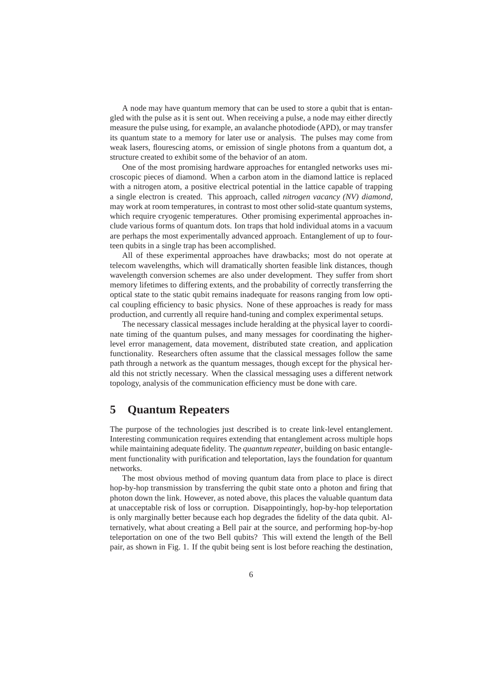A node may have quantum memory that can be used to store a qubit that is entangled with the pulse as it is sent out. When receiving a pulse, a node may either directly measure the pulse using, for example, an avalanche photodiode (APD), or may transfer its quantum state to a memory for later use or analysis. The pulses may come from weak lasers, flourescing atoms, or emission of single photons from a quantum dot, a structure created to exhibit some of the behavior of an atom.

One of the most promising hardware approaches for entangled networks uses microscopic pieces of diamond. When a carbon atom in the diamond lattice is replaced with a nitrogen atom, a positive electrical potential in the lattice capable of trapping a single electron is created. This approach, called *nitrogen vacancy (NV) diamond*, may work at room temperatures, in contrast to most other solid-state quantum systems, which require cryogenic temperatures. Other promising experimental approaches include various forms of quantum dots. Ion traps that hold individual atoms in a vacuum are perhaps the most experimentally advanced approach. Entanglement of up to fourteen qubits in a single trap has been accomplished.

All of these experimental approaches have drawbacks; most do not operate at telecom wavelengths, which will dramatically shorten feasible link distances, though wavelength conversion schemes are also under development. They suffer from short memory lifetimes to differing extents, and the probability of correctly transferring the optical state to the static qubit remains inadequate for reasons ranging from low optical coupling efficiency to basic physics. None of these approaches is ready for mass production, and currently all require hand-tuning and complex experimental setups.

The necessary classical messages include heralding at the physical layer to coordinate timing of the quantum pulses, and many messages for coordinating the higherlevel error management, data movement, distributed state creation, and application functionality. Researchers often assume that the classical messages follow the same path through a network as the quantum messages, though except for the physical herald this not strictly necessary. When the classical messaging uses a different network topology, analysis of the communication efficiency must be done with care.

### **5 Quantum Repeaters**

The purpose of the technologies just described is to create link-level entanglement. Interesting communication requires extending that entanglement across multiple hops while maintaining adequate fidelity. The *quantum repeater*, building on basic entanglement functionality with purification and teleportation, lays the foundation for quantum networks.

The most obvious method of moving quantum data from place to place is direct hop-by-hop transmission by transferring the qubit state onto a photon and firing that photon down the link. However, as noted above, this places the valuable quantum data at unacceptable risk of loss or corruption. Disappointingly, hop-by-hop teleportation is only marginally better because each hop degrades the fidelity of the data qubit. Alternatively, what about creating a Bell pair at the source, and performing hop-by-hop teleportation on one of the two Bell qubits? This will extend the length of the Bell pair, as shown in Fig. 1. If the qubit being sent is lost before reaching the destination,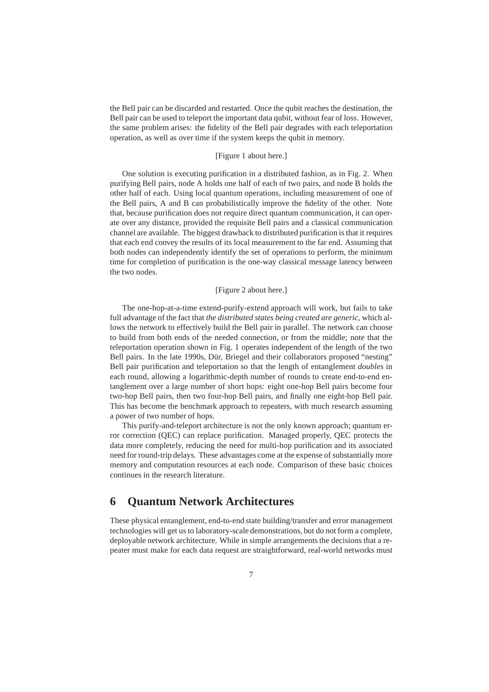the Bell pair can be discarded and restarted. Once the qubit reaches the destination, the Bell pair can be used to teleport the important data qubit, without fear of loss. However, the same problem arises: the fidelity of the Bell pair degrades with each teleportation operation, as well as over time if the system keeps the qubit in memory.

#### [Figure 1 about here.]

One solution is executing purification in a distributed fashion, as in Fig. 2. When purifying Bell pairs, node A holds one half of each of two pairs, and node B holds the other half of each. Using local quantum operations, including measurement of one of the Bell pairs, A and B can probabilistically improve the fidelity of the other. Note that, because purification does not require direct quantum communication, it can operate over any distance, provided the requisite Bell pairs and a classical communication channel are available. The biggest drawback to distributed purification is that it requires that each end convey the results of its local measurement to the far end. Assuming that both nodes can independently identify the set of operations to perform, the minimum time for completion of purification is the one-way classical message latency between the two nodes.

#### [Figure 2 about here.]

The one-hop-at-a-time extend-purify-extend approach will work, but fails to take full advantage of the fact that *the distributed states being created are generic*, which allows the network to effectively build the Bell pair in parallel. The network can choose to build from both ends of the needed connection, or from the middle; note that the teleportation operation shown in Fig. 1 operates independent of the length of the two Bell pairs. In the late 1990s, Dür, Briegel and their collaborators proposed "nesting" Bell pair purification and teleportation so that the length of entanglement *doubles* in each round, allowing a logarithmic-depth number of rounds to create end-to-end entanglement over a large number of short hops: eight one-hop Bell pairs become four two-hop Bell pairs, then two four-hop Bell pairs, and finally one eight-hop Bell pair. This has become the benchmark approach to repeaters, with much research assuming a power of two number of hops.

This purify-and-teleport architecture is not the only known approach; quantum error correction (QEC) can replace purification. Managed properly, QEC protects the data more completely, reducing the need for multi-hop purification and its associated need for round-trip delays. These advantages come at the expense of substantially more memory and computation resources at each node. Comparison of these basic choices continues in the research literature.

### **6 Quantum Network Architectures**

These physical entanglement, end-to-end state building/transfer and error management technologies will get us to laboratory-scale demonstrations, but do not form a complete, deployable network architecture. While in simple arrangements the decisions that a repeater must make for each data request are straightforward, real-world networks must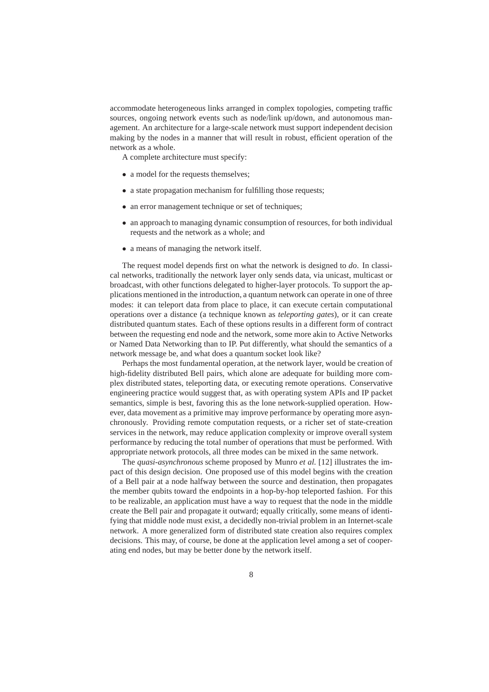accommodate heterogeneous links arranged in complex topologies, competing traffic sources, ongoing network events such as node/link up/down, and autonomous management. An architecture for a large-scale network must support independent decision making by the nodes in a manner that will result in robust, efficient operation of the network as a whole.

A complete architecture must specify:

- a model for the requests themselves;
- a state propagation mechanism for fulfilling those requests;
- an error management technique or set of techniques;
- an approach to managing dynamic consumption of resources, for both individual requests and the network as a whole; and
- a means of managing the network itself.

The request model depends first on what the network is designed to *do*. In classical networks, traditionally the network layer only sends data, via unicast, multicast or broadcast, with other functions delegated to higher-layer protocols. To support the applications mentioned in the introduction, a quantum network can operate in one of three modes: it can teleport data from place to place, it can execute certain computational operations over a distance (a technique known as *teleporting gates*), or it can create distributed quantum states. Each of these options results in a different form of contract between the requesting end node and the network, some more akin to Active Networks or Named Data Networking than to IP. Put differently, what should the semantics of a network message be, and what does a quantum socket look like?

Perhaps the most fundamental operation, at the network layer, would be creation of high-fidelity distributed Bell pairs, which alone are adequate for building more complex distributed states, teleporting data, or executing remote operations. Conservative engineering practice would suggest that, as with operating system APIs and IP packet semantics, simple is best, favoring this as the lone network-supplied operation. However, data movement as a primitive may improve performance by operating more asynchronously. Providing remote computation requests, or a richer set of state-creation services in the network, may reduce application complexity or improve overall system performance by reducing the total number of operations that must be performed. With appropriate network protocols, all three modes can be mixed in the same network.

The *quasi-asynchronous* scheme proposed by Munro *et al.* [12] illustrates the impact of this design decision. One proposed use of this model begins with the creation of a Bell pair at a node halfway between the source and destination, then propagates the member qubits toward the endpoints in a hop-by-hop teleported fashion. For this to be realizable, an application must have a way to request that the node in the middle create the Bell pair and propagate it outward; equally critically, some means of identifying that middle node must exist, a decidedly non-trivial problem in an Internet-scale network. A more generalized form of distributed state creation also requires complex decisions. This may, of course, be done at the application level among a set of cooperating end nodes, but may be better done by the network itself.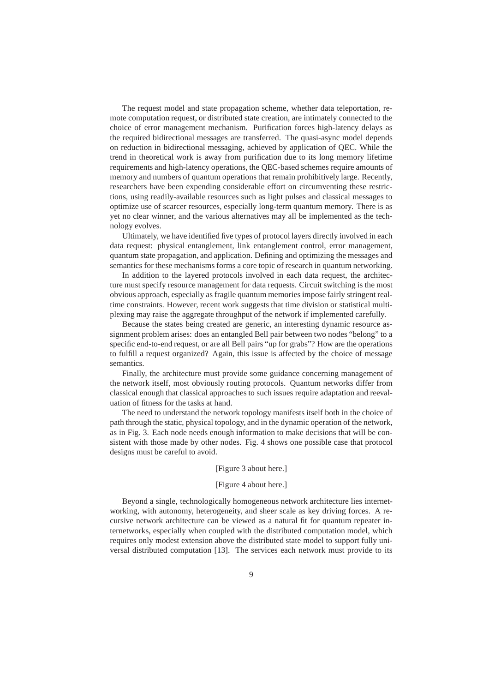The request model and state propagation scheme, whether data teleportation, remote computation request, or distributed state creation, are intimately connected to the choice of error management mechanism. Purification forces high-latency delays as the required bidirectional messages are transferred. The quasi-async model depends on reduction in bidirectional messaging, achieved by application of QEC. While the trend in theoretical work is away from purification due to its long memory lifetime requirements and high-latency operations, the QEC-based schemes require amounts of memory and numbers of quantum operations that remain prohibitively large. Recently, researchers have been expending considerable effort on circumventing these restrictions, using readily-available resources such as light pulses and classical messages to optimize use of scarcer resources, especially long-term quantum memory. There is as yet no clear winner, and the various alternatives may all be implemented as the technology evolves.

Ultimately, we have identified five types of protocol layers directly involved in each data request: physical entanglement, link entanglement control, error management, quantum state propagation, and application. Defining and optimizing the messages and semantics for these mechanisms forms a core topic of research in quantum networking.

In addition to the layered protocols involved in each data request, the architecture must specify resource management for data requests. Circuit switching is the most obvious approach, especially as fragile quantum memories impose fairly stringent realtime constraints. However, recent work suggests that time division or statistical multiplexing may raise the aggregate throughput of the network if implemented carefully.

Because the states being created are generic, an interesting dynamic resource assignment problem arises: does an entangled Bell pair between two nodes "belong" to a specific end-to-end request, or are all Bell pairs "up for grabs"? How are the operations to fulfill a request organized? Again, this issue is affected by the choice of message semantics.

Finally, the architecture must provide some guidance concerning management of the network itself, most obviously routing protocols. Quantum networks differ from classical enough that classical approaches to such issues require adaptation and reevaluation of fitness for the tasks at hand.

The need to understand the network topology manifests itself both in the choice of path through the static, physical topology, and in the dynamic operation of the network, as in Fig. 3. Each node needs enough information to make decisions that will be consistent with those made by other nodes. Fig. 4 shows one possible case that protocol designs must be careful to avoid.

#### [Figure 3 about here.]

#### [Figure 4 about here.]

Beyond a single, technologically homogeneous network architecture lies internetworking, with autonomy, heterogeneity, and sheer scale as key driving forces. A recursive network architecture can be viewed as a natural fit for quantum repeater internetworks, especially when coupled with the distributed computation model, which requires only modest extension above the distributed state model to support fully universal distributed computation [13]. The services each network must provide to its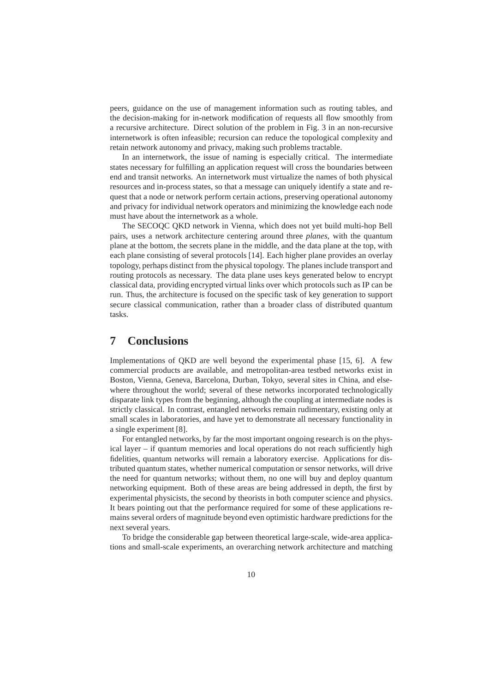peers, guidance on the use of management information such as routing tables, and the decision-making for in-network modification of requests all flow smoothly from a recursive architecture. Direct solution of the problem in Fig. 3 in an non-recursive internetwork is often infeasible; recursion can reduce the topological complexity and retain network autonomy and privacy, making such problems tractable.

In an internetwork, the issue of naming is especially critical. The intermediate states necessary for fulfilling an application request will cross the boundaries between end and transit networks. An internetwork must virtualize the names of both physical resources and in-process states, so that a message can uniquely identify a state and request that a node or network perform certain actions, preserving operational autonomy and privacy for individual network operators and minimizing the knowledge each node must have about the internetwork as a whole.

The SECOQC QKD network in Vienna, which does not yet build multi-hop Bell pairs, uses a network architecture centering around three *planes*, with the quantum plane at the bottom, the secrets plane in the middle, and the data plane at the top, with each plane consisting of several protocols [14]. Each higher plane provides an overlay topology, perhaps distinct from the physical topology. The planes include transport and routing protocols as necessary. The data plane uses keys generated below to encrypt classical data, providing encrypted virtual links over which protocols such as IP can be run. Thus, the architecture is focused on the specific task of key generation to support secure classical communication, rather than a broader class of distributed quantum tasks.

### **7 Conclusions**

Implementations of QKD are well beyond the experimental phase [15, 6]. A few commercial products are available, and metropolitan-area testbed networks exist in Boston, Vienna, Geneva, Barcelona, Durban, Tokyo, several sites in China, and elsewhere throughout the world; several of these networks incorporated technologically disparate link types from the beginning, although the coupling at intermediate nodes is strictly classical. In contrast, entangled networks remain rudimentary, existing only at small scales in laboratories, and have yet to demonstrate all necessary functionality in a single experiment [8].

For entangled networks, by far the most important ongoing research is on the physical layer – if quantum memories and local operations do not reach sufficiently high fidelities, quantum networks will remain a laboratory exercise. Applications for distributed quantum states, whether numerical computation or sensor networks, will drive the need for quantum networks; without them, no one will buy and deploy quantum networking equipment. Both of these areas are being addressed in depth, the first by experimental physicists, the second by theorists in both computer science and physics. It bears pointing out that the performance required for some of these applications remains several orders of magnitude beyond even optimistic hardware predictions for the next several years.

To bridge the considerable gap between theoretical large-scale, wide-area applications and small-scale experiments, an overarching network architecture and matching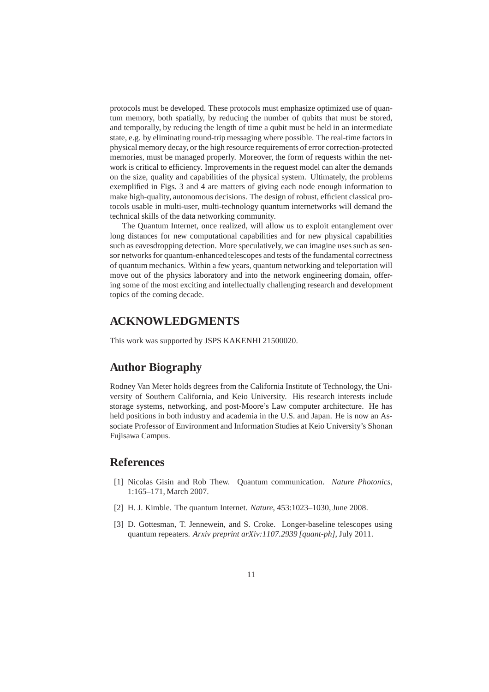protocols must be developed. These protocols must emphasize optimized use of quantum memory, both spatially, by reducing the number of qubits that must be stored, and temporally, by reducing the length of time a qubit must be held in an intermediate state, e.g. by eliminating round-trip messaging where possible. The real-time factors in physical memory decay, or the high resource requirements of error correction-protected memories, must be managed properly. Moreover, the form of requests within the network is critical to efficiency. Improvements in the request model can alter the demands on the size, quality and capabilities of the physical system. Ultimately, the problems exemplified in Figs. 3 and 4 are matters of giving each node enough information to make high-quality, autonomous decisions. The design of robust, efficient classical protocols usable in multi-user, multi-technology quantum internetworks will demand the technical skills of the data networking community.

The Quantum Internet, once realized, will allow us to exploit entanglement over long distances for new computational capabilities and for new physical capabilities such as eavesdropping detection. More speculatively, we can imagine uses such as sensor networks for quantum-enhanced telescopes and tests of the fundamental correctness of quantum mechanics. Within a few years, quantum networking and teleportation will move out of the physics laboratory and into the network engineering domain, offering some of the most exciting and intellectually challenging research and development topics of the coming decade.

#### **ACKNOWLEDGMENTS**

This work was supported by JSPS KAKENHI 21500020.

#### **Author Biography**

Rodney Van Meter holds degrees from the California Institute of Technology, the University of Southern California, and Keio University. His research interests include storage systems, networking, and post-Moore's Law computer architecture. He has held positions in both industry and academia in the U.S. and Japan. He is now an Associate Professor of Environment and Information Studies at Keio University's Shonan Fujisawa Campus.

#### **References**

- [1] Nicolas Gisin and Rob Thew. Quantum communication. *Nature Photonics*, 1:165–171, March 2007.
- [2] H. J. Kimble. The quantum Internet. *Nature*, 453:1023–1030, June 2008.
- [3] D. Gottesman, T. Jennewein, and S. Croke. Longer-baseline telescopes using quantum repeaters. *Arxiv preprint arXiv:1107.2939 [quant-ph]*, July 2011.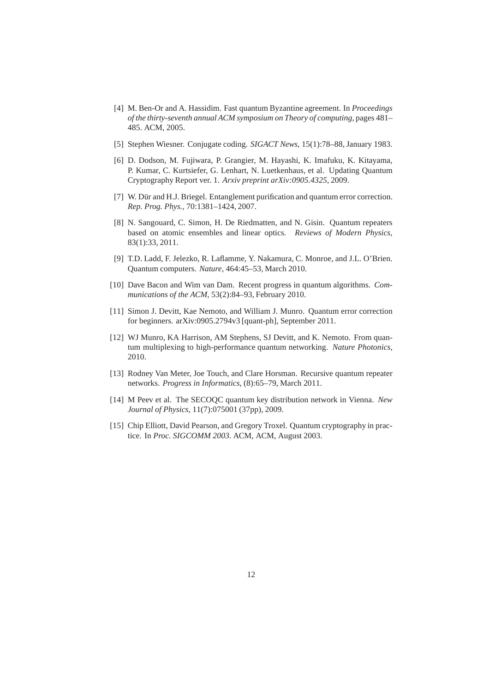- [4] M. Ben-Or and A. Hassidim. Fast quantum Byzantine agreement. In *Proceedings of the thirty-seventh annual ACM symposium on Theory of computing*, pages 481– 485. ACM, 2005.
- [5] Stephen Wiesner. Conjugate coding. *SIGACT News*, 15(1):78–88, January 1983.
- [6] D. Dodson, M. Fujiwara, P. Grangier, M. Hayashi, K. Imafuku, K. Kitayama, P. Kumar, C. Kurtsiefer, G. Lenhart, N. Luetkenhaus, et al. Updating Quantum Cryptography Report ver. 1. *Arxiv preprint arXiv:0905.4325*, 2009.
- [7] W. Dür and H.J. Briegel. Entanglement purification and quantum error correction. *Rep. Prog. Phys.*, 70:1381–1424, 2007.
- [8] N. Sangouard, C. Simon, H. De Riedmatten, and N. Gisin. Quantum repeaters based on atomic ensembles and linear optics. *Reviews of Modern Physics*, 83(1):33, 2011.
- [9] T.D. Ladd, F. Jelezko, R. Laflamme, Y. Nakamura, C. Monroe, and J.L. O'Brien. Quantum computers. *Nature*, 464:45–53, March 2010.
- [10] Dave Bacon and Wim van Dam. Recent progress in quantum algorithms. *Communications of the ACM*, 53(2):84–93, February 2010.
- [11] Simon J. Devitt, Kae Nemoto, and William J. Munro. Quantum error correction for beginners. arXiv:0905.2794v3 [quant-ph], September 2011.
- [12] WJ Munro, KA Harrison, AM Stephens, SJ Devitt, and K. Nemoto. From quantum multiplexing to high-performance quantum networking. *Nature Photonics*, 2010.
- [13] Rodney Van Meter, Joe Touch, and Clare Horsman. Recursive quantum repeater networks. *Progress in Informatics*, (8):65–79, March 2011.
- [14] M Peev et al. The SECOQC quantum key distribution network in Vienna. *New Journal of Physics*, 11(7):075001 (37pp), 2009.
- [15] Chip Elliott, David Pearson, and Gregory Troxel. Quantum cryptography in practice. In *Proc. SIGCOMM 2003*. ACM, ACM, August 2003.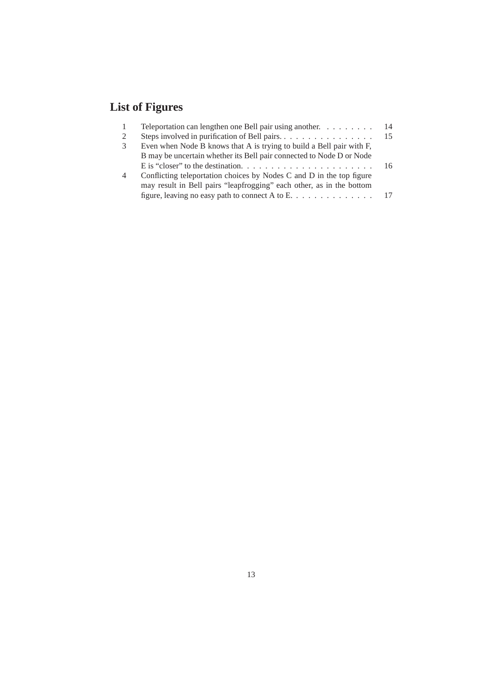# **List of Figures**

|   | Teleportation can lengthen one Bell pair using another. $\dots \dots \dots$ 14 |  |
|---|--------------------------------------------------------------------------------|--|
| 2 |                                                                                |  |
| 3 | Even when Node B knows that A is trying to build a Bell pair with F,           |  |
|   | B may be uncertain whether its Bell pair connected to Node D or Node           |  |
|   |                                                                                |  |
| 4 | Conflicting teleportation choices by Nodes C and D in the top figure           |  |
|   | may result in Bell pairs "leapfrogging" each other, as in the bottom           |  |
|   | figure, leaving no easy path to connect A to E. 17                             |  |
|   |                                                                                |  |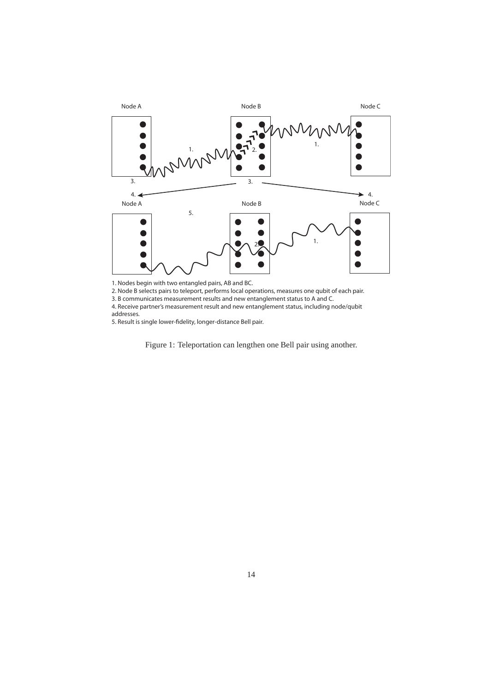

1. Nodes begin with two entangled pairs, AB and BC.

2. Node B selects pairs to teleport, performs local operations, measures one qubit of each pair.

3. B communicates measurement results and new entanglement status to A and C.

4. Receive partner's measurement result and new entanglement status, including node/qubit addresses.

5. Result is single lower-fidelity, longer-distance Bell pair.

Figure 1: Teleportation can lengthen one Bell pair using another.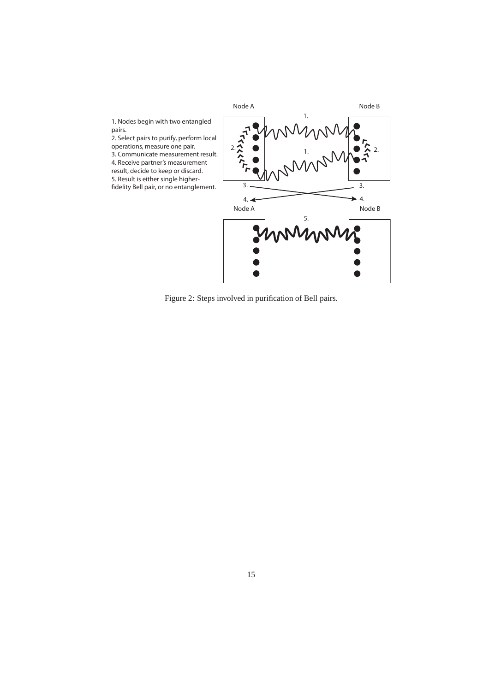

Figure 2: Steps involved in purification of Bell pairs.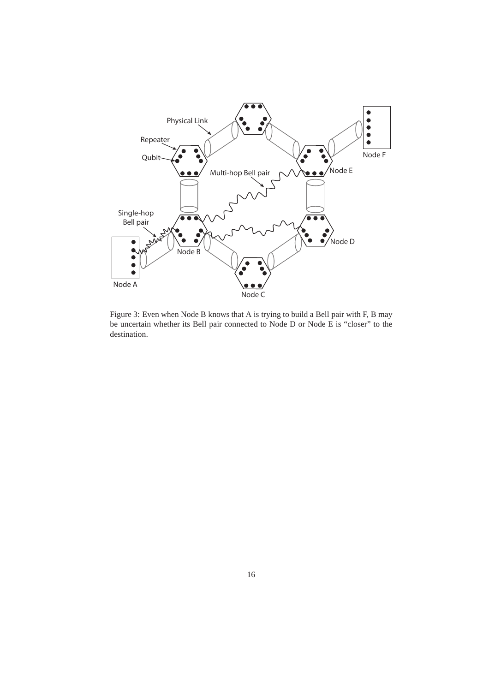

Figure 3: Even when Node B knows that A is trying to build a Bell pair with F, B may be uncertain whether its Bell pair connected to Node D or Node E is "closer" to the destination.